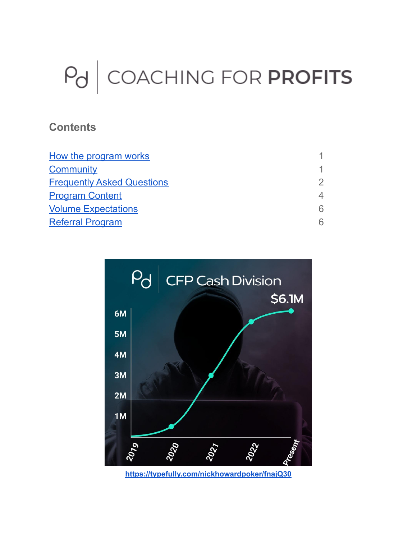# $P<sub>d</sub>$  COACHING FOR PROFITS

## **Contents**

| $\mathcal{P}$  |
|----------------|
| $\overline{4}$ |
| 6              |
| 6              |
|                |



**<https://typefully.com/nickhowardpoker/fnajQ30>**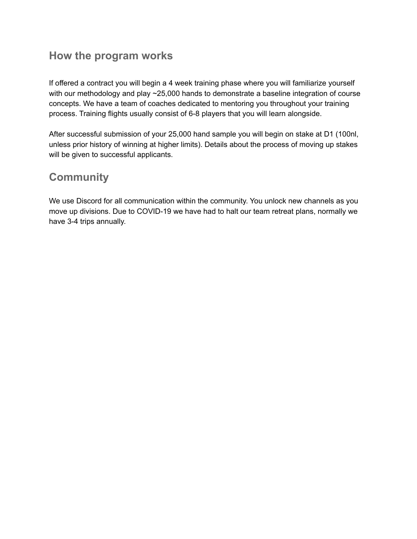## <span id="page-1-0"></span>**How the program works**

If offered a contract you will begin a 4 week training phase where you will familiarize yourself with our methodology and play ~25,000 hands to demonstrate a baseline integration of course concepts. We have a team of coaches dedicated to mentoring you throughout your training process. Training flights usually consist of 6-8 players that you will learn alongside.

After successful submission of your 25,000 hand sample you will begin on stake at D1 (100nl, unless prior history of winning at higher limits). Details about the process of moving up stakes will be given to successful applicants.

# <span id="page-1-1"></span>**Community**

We use Discord for all communication within the community. You unlock new channels as you move up divisions. Due to COVID-19 we have had to halt our team retreat plans, normally we have 3-4 trips annually.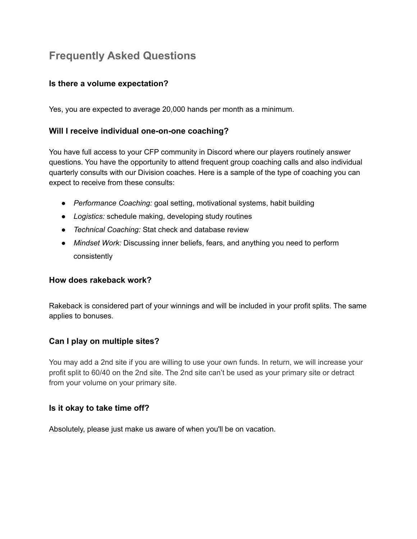# <span id="page-2-0"></span>**Frequently Asked Questions**

#### **Is there a volume expectation?**

Yes, you are expected to average 20,000 hands per month as a minimum.

#### **Will I receive individual one-on-one coaching?**

You have full access to your CFP community in Discord where our players routinely answer questions. You have the opportunity to attend frequent group coaching calls and also individual quarterly consults with our Division coaches. Here is a sample of the type of coaching you can expect to receive from these consults:

- *Performance Coaching:* goal setting, motivational systems, habit building
- *Logistics:* schedule making, developing study routines
- *Technical Coaching:* Stat check and database review
- *Mindset Work:* Discussing inner beliefs, fears, and anything you need to perform consistently

#### **How does rakeback work?**

Rakeback is considered part of your winnings and will be included in your profit splits. The same applies to bonuses.

#### **Can I play on multiple sites?**

You may add a 2nd site if you are willing to use your own funds. In return, we will increase your profit split to 60/40 on the 2nd site. The 2nd site can't be used as your primary site or detract from your volume on your primary site.

#### **Is it okay to take time off?**

Absolutely, please just make us aware of when you'll be on vacation.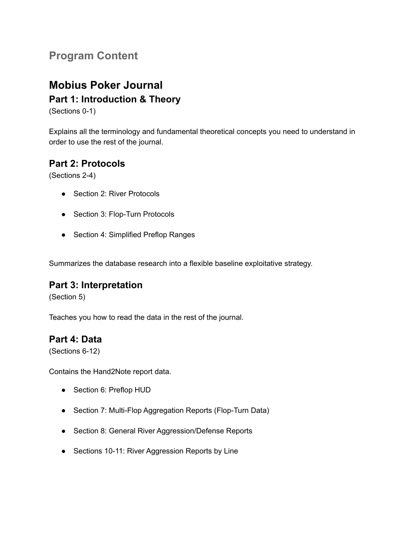## <span id="page-3-0"></span>**Program Content**

# **Mobius Poker Journal**

### **Part 1: Introduction & Theory**

(Sections 0-1)

Explains all the terminology and fundamental theoretical concepts you need to understand in order to use the rest of the journal.

## **Part 2: Protocols**

(Sections 2-4)

- Section 2: River Protocols
- Section 3: Flop-Turn Protocols
- Section 4: Simplified Preflop Ranges

Summarizes the database research into a flexible baseline exploitative strategy.

#### **Part 3: Interpretation**

(Section 5)

Teaches you how to read the data in the rest of the journal.

#### **Part 4: Data**

(Sections 6-12)

Contains the Hand2Note report data.

- Section 6: Preflop HUD
- Section 7: Multi-Flop Aggregation Reports (Flop-Turn Data)
- Section 8: General River Aggression/Defense Reports
- Sections 10-11: River Aggression Reports by Line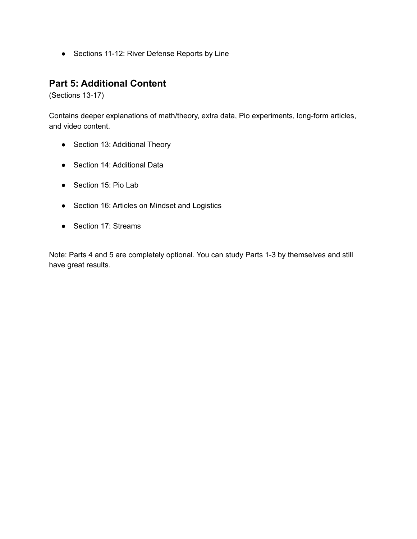● Sections 11-12: River Defense Reports by Line

#### **Part 5: Additional Content**

(Sections 13-17)

Contains deeper explanations of math/theory, extra data, Pio experiments, long-form articles, and video content.

- Section 13: Additional Theory
- Section 14: Additional Data
- Section 15: Pio Lab
- Section 16: Articles on Mindset and Logistics
- Section 17: Streams

Note: Parts 4 and 5 are completely optional. You can study Parts 1-3 by themselves and still have great results.